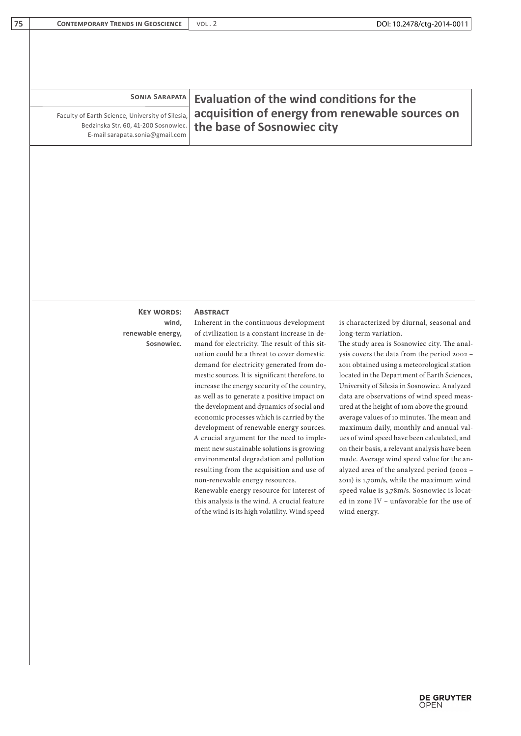| <b>SONIA SARAPATA</b> |
|-----------------------|
|                       |

Faculty of Earth Science, University of Silesia, Bedzinska Str. 60, 41-200 Sosnowiec. E-mail sarapata.sonia@gmail.com

# **Evaluation of the wind conditions for the acquisition of energy from renewable sources on the base of Sosnowiec city**

## **Key words: Abstract wind, renewable energy, Sosnowiec.**

Inherent in the continuous development of civilization is a constant increase in demand for electricity. The result of this situation could be a threat to cover domestic demand for electricity generated from domestic sources. It is significant therefore, to increase the energy security of the country, as well as to generate a positive impact on the development and dynamics of social and economic processes which is carried by the development of renewable energy sources. A crucial argument for the need to implement new sustainable solutions is growing environmental degradation and pollution resulting from the acquisition and use of non-renewable energy resources.

Renewable energy resource for interest of this analysis is the wind. A crucial feature of the wind is its high volatility. Wind speed

is characterized by diurnal, seasonal and long-term variation.

The study area is Sosnowiec city. The analysis covers the data from the period 2002 – 2011 obtained using a meteorological station located in the Department of Earth Sciences, University of Silesia in Sosnowiec. Analyzed data are observations of wind speed measured at the height of 10m above the ground – average values of 10 minutes. The mean and maximum daily, monthly and annual values of wind speed have been calculated, and on their basis, a relevant analysis have been made. Average wind speed value for the analyzed area of the analyzed period (2002 – 2011) is 1,70m/s, while the maximum wind speed value is 3,78m/s. Sosnowiec is located in zone IV – unfavorable for the use of wind energy.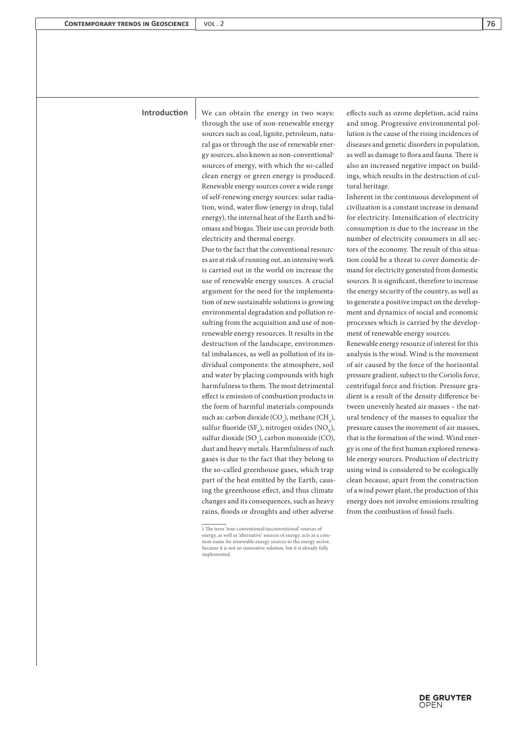Introduction We can obtain the energy in two ways: effects such as ozone depletion, acid rains through the use of non-renewable energy sources such as coal, lignite, petroleum, natural gas or through the use of renewable energy sources, also known as non-conventional<sup>1</sup> sources of energy, with which the so-called clean energy or green energy is produced. Renewable energy sources cover a wide range of self-renewing energy sources: solar radiation, wind, water flow (energy in drop, tidal energy), the internal heat of the Earth and biomass and biogas. Their use can provide both electricity and thermal energy.

> Due to the fact that the conventional resources are at risk of running out, an intensive work is carried out in the world on increase the use of renewable energy sources. A crucial argument for the need for the implementation of new sustainable solutions is growing environmental degradation and pollution resulting from the acquisition and use of nonrenewable energy resources. It results in the destruction of the landscape, environmental imbalances, as well as pollution of its individual components: the atmosphere, soil and water by placing compounds with high harmfulness to them. The most detrimental effect is emission of combustion products in the form of harmful materials compounds such as: carbon dioxide  $(CO_2)$ , methane  $(CH_4)$ , sulfur fluoride (SF<sub>6</sub>), nitrogen oxides (NO<sub>x</sub>), sulfur dioxide  $(SO_2)$ , carbon monoxide (CO), dust and heavy metals. Harmfulness of such gases is due to the fact that they belong to the so-called greenhouse gases, which trap part of the heat emitted by the Earth, causing the greenhouse effect, and thus climate changes and its consequences, such as heavy rains, floods or droughts and other adverse

and smog. Progressive environmental pollution is the cause of the rising incidences of diseases and genetic disorders in population, as well as damage to flora and fauna. There is also an increased negative impact on buildings, which results in the destruction of cultural heritage.

Inherent in the continuous development of civilization is a constant increase in demand for electricity. Intensification of electricity consumption is due to the increase in the number of electricity consumers in all sectors of the economy. The result of this situation could be a threat to cover domestic demand for electricity generated from domestic sources. It is significant, therefore to increase the energy security of the country, as well as to generate a positive impact on the development and dynamics of social and economic processes which is carried by the development of renewable energy sources.

Renewable energy resource of interest for this analysis is the wind. Wind is the movement of air caused by the force of the horizontal pressure gradient, subject to the Coriolis force, centrifugal force and friction. Pressure gradient is a result of the density difference between unevenly heated air masses – the natural tendency of the masses to equalize the pressure causes the movement of air masses, that is the formation of the wind. Wind energy is one of the first human explored renewable energy sources. Production of electricity using wind is considered to be ecologically clean because, apart from the construction of a wind power plant, the production of this energy does not involve emissions resulting from the combustion of fossil fuels.

<sup>1</sup> The term 'non-conventional/unconventional' sources of energy, as well as 'alternative' sources of energy, acts as a common name for renewable energy sources to the energy sector, because it is not an innovative solution, but it is already fully implemented.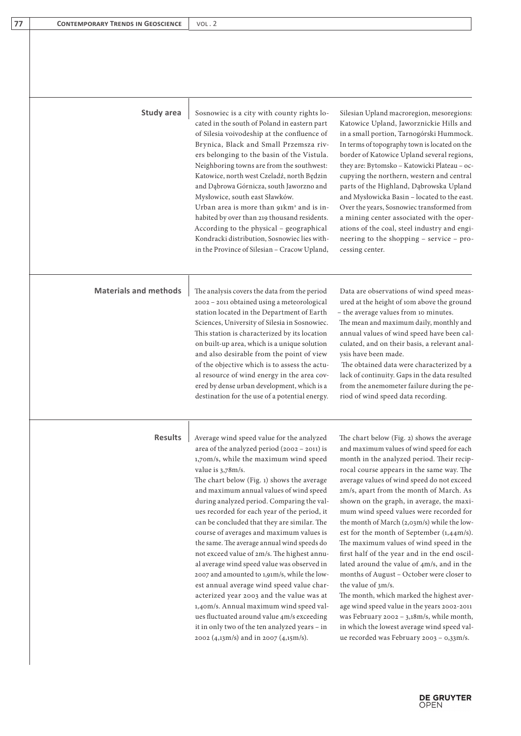| 77 | <b>CONTEMPORARY TRENDS IN GEOSCIENCE</b> | VOL.2 |
|----|------------------------------------------|-------|
|----|------------------------------------------|-------|

| Study area                   | Sosnowiec is a city with county rights lo-<br>cated in the south of Poland in eastern part<br>of Silesia voivodeship at the confluence of<br>Brynica, Black and Small Przemsza riv-<br>ers belonging to the basin of the Vistula.<br>Neighboring towns are from the southwest:<br>Katowice, north west Czeladź, north Będzin<br>and Dąbrowa Górnicza, south Jaworzno and<br>Mysłowice, south east Sławków.<br>Urban area is more than 91km <sup>2</sup> and is in-<br>habited by over than 219 thousand residents.<br>According to the physical - geographical<br>Kondracki distribution, Sosnowiec lies with-<br>in the Province of Silesian - Cracow Upland,                                                                                                                                                                                                                                                     | Silesian Upland macroregion, mesoregions:<br>Katowice Upland, Jaworznickie Hills and<br>in a small portion, Tarnogórski Hummock.<br>In terms of topography town is located on the<br>border of Katowice Upland several regions,<br>they are: Bytomsko - Katowicki Plateau - oc-<br>cupying the northern, western and central<br>parts of the Highland, Dąbrowska Upland<br>and Mysłowicka Basin - located to the east.<br>Over the years, Sosnowiec transformed from<br>a mining center associated with the oper-<br>ations of the coal, steel industry and engi-<br>neering to the shopping - service - pro-<br>cessing center.                                                                                                                                                                                                                                                                                |
|------------------------------|--------------------------------------------------------------------------------------------------------------------------------------------------------------------------------------------------------------------------------------------------------------------------------------------------------------------------------------------------------------------------------------------------------------------------------------------------------------------------------------------------------------------------------------------------------------------------------------------------------------------------------------------------------------------------------------------------------------------------------------------------------------------------------------------------------------------------------------------------------------------------------------------------------------------|-----------------------------------------------------------------------------------------------------------------------------------------------------------------------------------------------------------------------------------------------------------------------------------------------------------------------------------------------------------------------------------------------------------------------------------------------------------------------------------------------------------------------------------------------------------------------------------------------------------------------------------------------------------------------------------------------------------------------------------------------------------------------------------------------------------------------------------------------------------------------------------------------------------------|
| <b>Materials and methods</b> | The analysis covers the data from the period<br>2002 - 2011 obtained using a meteorological<br>station located in the Department of Earth<br>Sciences, University of Silesia in Sosnowiec.<br>This station is characterized by its location<br>on built-up area, which is a unique solution<br>and also desirable from the point of view<br>of the objective which is to assess the actu-<br>al resource of wind energy in the area cov-<br>ered by dense urban development, which is a<br>destination for the use of a potential energy.                                                                                                                                                                                                                                                                                                                                                                          | Data are observations of wind speed meas-<br>ured at the height of 10m above the ground<br>- the average values from 10 minutes.<br>The mean and maximum daily, monthly and<br>annual values of wind speed have been cal-<br>culated, and on their basis, a relevant anal-<br>ysis have been made.<br>The obtained data were characterized by a<br>lack of continuity. Gaps in the data resulted<br>from the anemometer failure during the pe-<br>riod of wind speed data recording.                                                                                                                                                                                                                                                                                                                                                                                                                            |
| <b>Results</b>               | Average wind speed value for the analyzed<br>area of the analyzed period (2002 - 2011) is<br>1,70m/s, while the maximum wind speed<br>value is 3,78m/s.<br>The chart below (Fig. 1) shows the average<br>and maximum annual values of wind speed<br>during analyzed period. Comparing the val-<br>ues recorded for each year of the period, it<br>can be concluded that they are similar. The<br>course of averages and maximum values is<br>the same. The average annual wind speeds do<br>not exceed value of 2m/s. The highest annu-<br>al average wind speed value was observed in<br>2007 and amounted to 1,91m/s, while the low-<br>est annual average wind speed value char-<br>acterized year 2003 and the value was at<br>1,40m/s. Annual maximum wind speed val-<br>ues fluctuated around value 4m/s exceeding<br>it in only two of the ten analyzed years - in<br>2002 (4,13m/s) and in 2007 (4,15m/s). | The chart below (Fig. 2) shows the average<br>and maximum values of wind speed for each<br>month in the analyzed period. Their recip-<br>rocal course appears in the same way. The<br>average values of wind speed do not exceed<br>2m/s, apart from the month of March. As<br>shown on the graph, in average, the maxi-<br>mum wind speed values were recorded for<br>the month of March (2,03m/s) while the low-<br>est for the month of September (1,44m/s).<br>The maximum values of wind speed in the<br>first half of the year and in the end oscil-<br>lated around the value of 4m/s, and in the<br>months of August - October were closer to<br>the value of 3m/s.<br>The month, which marked the highest aver-<br>age wind speed value in the years 2002-2011<br>was February 2002 - 3,18m/s, while month,<br>in which the lowest average wind speed val-<br>ue recorded was February 2003 - 0,33m/s. |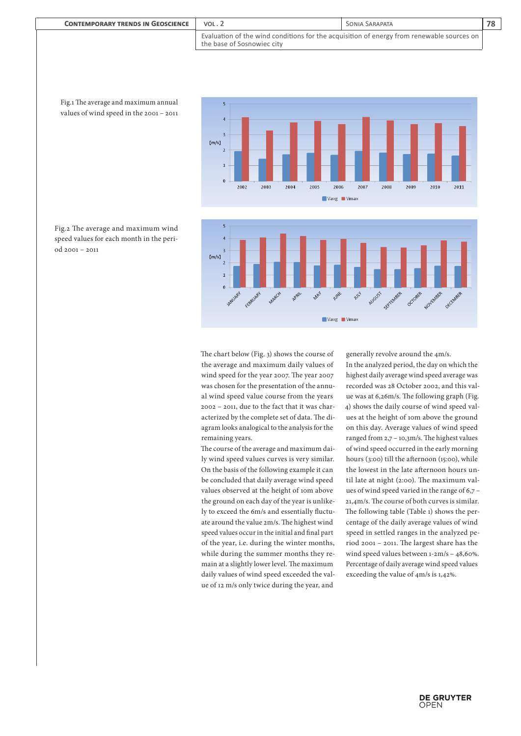| <b>CONTEMPORARY TRENDS IN GEOSCIENCE</b> | VOL.2                                                                                                                     | SONIA SARAPATA | 78 |
|------------------------------------------|---------------------------------------------------------------------------------------------------------------------------|----------------|----|
|                                          | Evaluation of the wind conditions for the acquisition of energy from renewable sources on  <br>the base of Sosnowiec city |                |    |





Fig.2 The average and maximum wind speed values for each month in the period 2001 – 2011

Fig.1 The average and maximum annual values of wind speed in the 2001 – 2011

> The chart below (Fig. 3) shows the course of the average and maximum daily values of wind speed for the year 2007. The year 2007 was chosen for the presentation of the annual wind speed value course from the years 2002 – 2011, due to the fact that it was characterized by the complete set of data. The diagram looks analogical to the analysis for the remaining years.

> The course of the average and maximum daily wind speed values curves is very similar. On the basis of the following example it can be concluded that daily average wind speed values observed at the height of 10m above the ground on each day of the year is unlikely to exceed the 6m/s and essentially fluctuate around the value 2m/s. The highest wind speed values occur in the initial and final part of the year, i.e. during the winter months, while during the summer months they remain at a slightly lower level. The maximum daily values of wind speed exceeded the value of 12 m/s only twice during the year, and

generally revolve around the 4m/s.

In the analyzed period, the day on which the highest daily average wind speed average was recorded was 28 October 2002, and this value was at 6,26m/s. The following graph (Fig. 4) shows the daily course of wind speed values at the height of 10m above the ground on this day. Average values of wind speed ranged from 2,7 – 10,3m/s. The highest values of wind speed occurred in the early morning hours (3:00) till the afternoon (15:00), while the lowest in the late afternoon hours until late at night (2:00). The maximum values of wind speed varied in the range of 6,7 – 21,4m/s. The course of both curves is similar. The following table (Table 1) shows the percentage of the daily average values of wind speed in settled ranges in the analyzed period 2001 – 2011. The largest share has the wind speed values between 1-2m/s – 48,60%. Percentage of daily average wind speed values exceeding the value of 4m/s is 1,42%.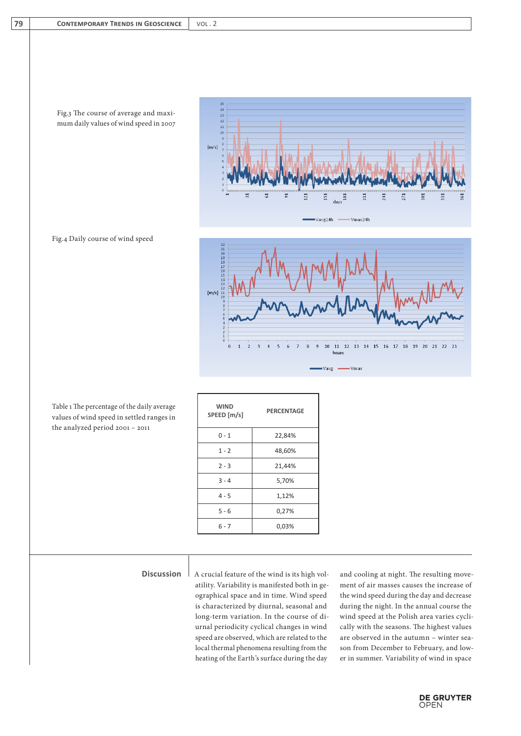Fig.3 The course of average and maximum daily values of wind speed in 2007







| Table 1 The percentage of the daily average |
|---------------------------------------------|
| values of wind speed in settled ranges in   |
| the analyzed period 2001 – 2011             |

| <b>WIND</b><br>SPEED [m/s] | <b>PERCENTAGE</b> |
|----------------------------|-------------------|
| $0 - 1$                    | 22,84%            |
| $1 - 2$                    | 48,60%            |
| $2 - 3$                    | 21,44%            |
| $3 - 4$                    | 5,70%             |
| $4 - 5$                    | 1,12%             |
| $5 - 6$                    | 0,27%             |
| $6 - 7$                    | 0,03%             |
|                            |                   |

atility. Variability is manifested both in geographical space and in time. Wind speed is characterized by diurnal, seasonal and long-term variation. In the course of diurnal periodicity cyclical changes in wind speed are observed, which are related to the local thermal phenomena resulting from the heating of the Earth's surface during the day

**Discussion** A crucial feature of the wind is its high vol- and cooling at night. The resulting movement of air masses causes the increase of the wind speed during the day and decrease during the night. In the annual course the wind speed at the Polish area varies cyclically with the seasons. The highest values are observed in the autumn – winter season from December to February, and lower in summer. Variability of wind in space

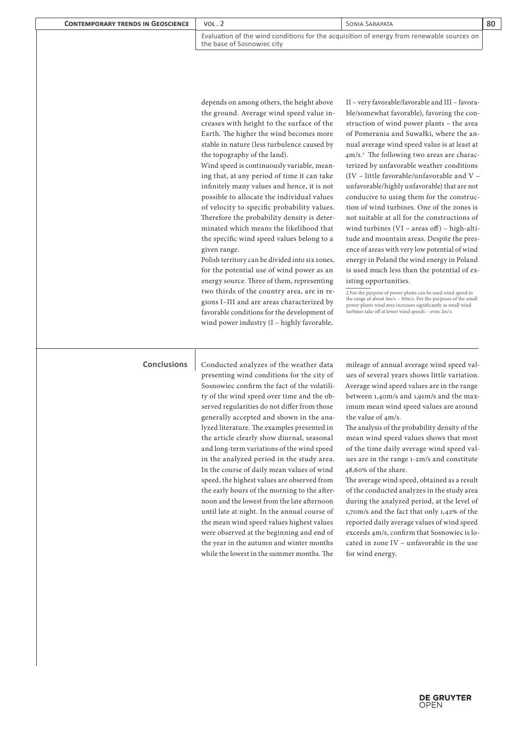| <b>CONTEMPORARY TRENDS IN GEOSCIENCE</b> | VOL.2                                                                                                                   | SONIA SARAPATA | 80 |
|------------------------------------------|-------------------------------------------------------------------------------------------------------------------------|----------------|----|
|                                          | Evaluation of the wind conditions for the acquisition of energy from renewable sources on<br>the base of Sosnowiec city |                |    |

depends on among others, the height above the ground. Average wind speed value increases with height to the surface of the Earth. The higher the wind becomes more stable in nature (less turbulence caused by the topography of the land).

Wind speed is continuously variable, meaning that, at any period of time it can take infinitely many values and hence, it is not possible to allocate the individual values of velocity to specific probability values. Therefore the probability density is determinated which means the likelihood that the specific wind speed values belong to a given range.

Polish territory can be divided into six zones, for the potential use of wind power as an energy source. Three of them, representing two thirds of the country area, are in regions I–III and are areas characterized by favorable conditions for the development of wind power industry (I – highly favorable,

II – very favorable/favorable and III – favorable/somewhat favorable), favoring the construction of wind power plants – the area of Pomerania and Suwałki, where the annual average wind speed value is at least at 4m/s.<sup>2</sup> The following two areas are characterized by unfavorable weather conditions (IV – little favorable/unfavorable and V – unfavorable/highly unfavorable) that are not conducive to using them for the construction of wind turbines. One of the zones is not suitable at all for the constructions of wind turbines (VI – areas off) – high-altitude and mountain areas. Despite the presence of areas with very low potential of wind energy in Poland the wind energy in Poland is used much less than the potential of existing opportunities.

2 For the purpose of power plants can be used wind speed in the range of about 4m/s – 30m/s. For the purposes of the small power plants wind area increases significantly as small wind turbines take off at lower wind speeds – even 2m/s.

presenting wind conditions for the city of Sosnowiec confirm the fact of the volatility of the wind speed over time and the observed regularities do not differ from those generally accepted and shown in the analyzed literature. The examples presented in the article clearly show diurnal, seasonal and long-term variations of the wind speed in the analyzed period in the study area. In the course of daily mean values of wind speed, the highest values are observed from the early hours of the morning to the afternoon and the lowest from the late afternoon until late at night. In the annual course of the mean wind speed values highest values were observed at the beginning and end of the year in the autumn and winter months while the lowest in the summer months. The

**Conclusions** Conducted analyzes of the weather data mileage of annual average wind speed values of several years shows little variation. Average wind speed values are in the range between 1,40m/s and 1,91m/s and the maximum mean wind speed values are around the value of 4m/s.

> The analysis of the probability density of the mean wind speed values shows that most of the time daily average wind speed values are in the range 1-2m/s and constitute 48,60% of the share.

> The average wind speed, obtained as a result of the conducted analyzes in the study area during the analyzed period, at the level of 1,70m/s and the fact that only 1,42% of the reported daily average values of wind speed exceeds 4m/s, confirm that Sosnowiec is located in zone IV – unfavorable in the use for wind energy.